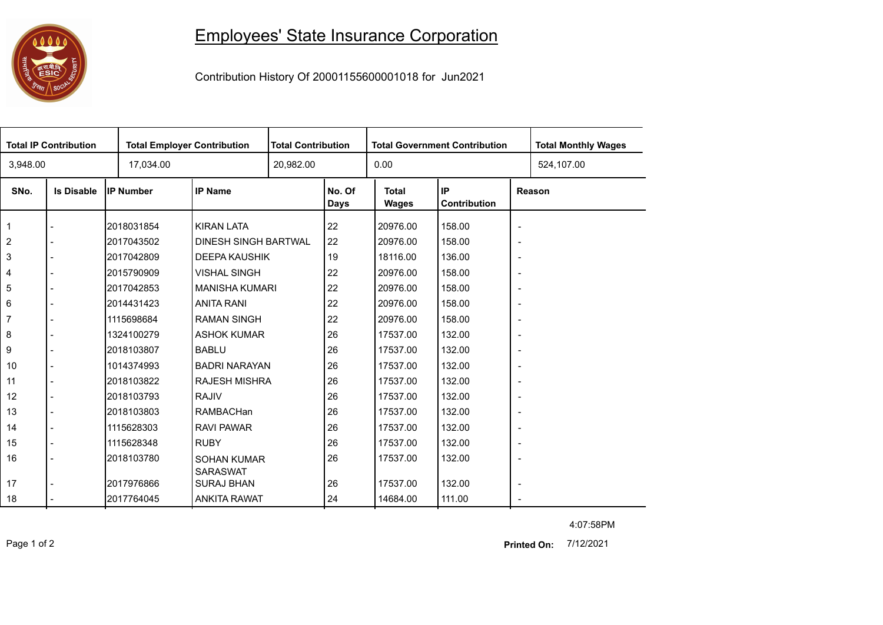## 0000

## Employees' State Insurance Corporation

Contribution History Of 20001155600001018 for Jun2021

| <b>Total IP Contribution</b> |                   |                  | <b>Total Employer Contribution</b>    |  | <b>Total Contribution</b> |                       | <b>Total Government Contribution</b> | <b>Total Monthly Wages</b> |  |  |
|------------------------------|-------------------|------------------|---------------------------------------|--|---------------------------|-----------------------|--------------------------------------|----------------------------|--|--|
| 3,948.00                     |                   | 17,034.00        |                                       |  | 20,982.00                 |                       |                                      | 524,107.00                 |  |  |
| SNo.                         | <b>Is Disable</b> | <b>IP Number</b> | <b>IP Name</b>                        |  | No. Of<br><b>Days</b>     | <b>Total</b><br>Wages | IP<br><b>Contribution</b>            | Reason                     |  |  |
| $\mathbf{1}$                 |                   | 2018031854       | <b>KIRAN LATA</b>                     |  | 22                        | 20976.00              | 158.00                               | $\overline{\phantom{a}}$   |  |  |
| $\overline{c}$               |                   | 2017043502       | DINESH SINGH BARTWAL                  |  | 22                        | 20976.00              | 158.00                               | $\overline{\phantom{a}}$   |  |  |
| 3                            |                   | 2017042809       | <b>DEEPA KAUSHIK</b>                  |  | 19                        | 18116.00              | 136.00                               | $\overline{\phantom{a}}$   |  |  |
| 4                            |                   | 2015790909       | <b>VISHAL SINGH</b>                   |  | 22                        | 20976.00              | 158.00                               | $\overline{\phantom{a}}$   |  |  |
| 5                            |                   | 2017042853       | <b>MANISHA KUMARI</b>                 |  | 22                        | 20976.00              | 158.00                               | $\overline{\phantom{a}}$   |  |  |
| 6                            |                   | 2014431423       | <b>ANITA RANI</b>                     |  | 22                        | 20976.00              | 158.00                               | $\overline{\phantom{a}}$   |  |  |
| $\overline{7}$               |                   | 1115698684       | <b>RAMAN SINGH</b>                    |  | 22                        | 20976.00              | 158.00                               | $\overline{\phantom{a}}$   |  |  |
| 8                            |                   | 1324100279       | <b>ASHOK KUMAR</b>                    |  | 26                        | 17537.00              | 132.00                               | $\overline{\phantom{a}}$   |  |  |
| 9                            |                   | 2018103807       | <b>BABLU</b>                          |  | 26                        | 17537.00              | 132.00                               | $\overline{\phantom{a}}$   |  |  |
| 10                           |                   | 1014374993       | <b>BADRI NARAYAN</b>                  |  | 26                        | 17537.00              | 132.00                               | $\overline{\phantom{a}}$   |  |  |
| 11                           | $\blacksquare$    | 2018103822       | <b>RAJESH MISHRA</b>                  |  | 26                        | 17537.00              | 132.00                               | $\overline{\phantom{a}}$   |  |  |
| 12                           |                   | 2018103793       | <b>RAJIV</b>                          |  | 26                        | 17537.00              | 132.00                               |                            |  |  |
| 13                           |                   | 2018103803       | RAMBACHan                             |  | 26                        | 17537.00              | 132.00                               | $\overline{\phantom{a}}$   |  |  |
| 14                           |                   | 1115628303       | <b>RAVI PAWAR</b>                     |  | 26                        | 17537.00              | 132.00                               | $\overline{\phantom{a}}$   |  |  |
| 15                           |                   | 1115628348       | <b>RUBY</b>                           |  | 26                        | 17537.00              | 132.00                               | $\overline{\phantom{a}}$   |  |  |
| 16                           |                   | 2018103780       | <b>SOHAN KUMAR</b><br><b>SARASWAT</b> |  | 26                        | 17537.00              | 132.00                               | $\overline{\phantom{a}}$   |  |  |
| 17                           |                   | 2017976866       | <b>SURAJ BHAN</b>                     |  | 26                        | 17537.00              | 132.00                               | $\overline{\phantom{a}}$   |  |  |
| 18                           |                   | 2017764045       | <b>ANKITA RAWAT</b>                   |  | 24                        | 14684.00              | 111.00                               | $\sim$                     |  |  |

4:07:58PM